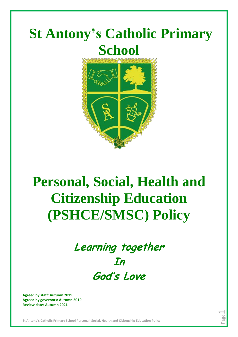

# **Personal, Social, Health and Citizenship Education (PSHCE/SMSC) Policy**



Page  $\overline{\phantom{0}}$ 

**Agreed by staff: Autumn 2019 Agreed by governors: Autumn 2019 Review date: Autumn 2021**

**St Antony's Catholic Primary School Personal, Social, Health and Citizenship Education Policy**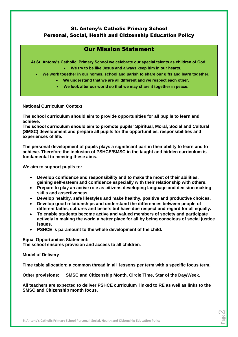## St. Antony's Catholic Primary School Personal, Social, Health and Citizenship Education Policy

## Our Mission Statement

**At St. Antony's Catholic Primary School we celebrate our special talents as children of God:**

- **We try to be like Jesus and always keep him in our hearts.**
- **We work together in our homes, school and parish to share our gifts and learn together.**
	- **We understand that we are all different and we respect each other.**
	- **We look after our world so that we may share it together in peace.**

### **National Curriculum Context**

**The school curriculum should aim to provide opportunities for all pupils to learn and achieve.**

**The school curriculum should aim to promote pupils' Spiritual, Moral, Social and Cultural (SMSC) development and prepare all pupils for the opportunities, responsibilities and experiences of life.**

**The personal development of pupils plays a significant part in their ability to learn and to achieve. Therefore the inclusion of PSHCE/SMSC in the taught and hidden curriculum is fundamental to meeting these aims.**

**We aim to support pupils to:**

- **Develop confidence and responsibility and to make the most of their abilities, gaining self-esteem and confidence especially with their relationship with others.**
- **Prepare to play an active role as citizens developing language and decision making skills and assertiveness.**
- **Develop healthy, safe lifestyles and make healthy, positive and productive choices.**
- **Develop good relationships and understand the differences between people of different faiths, cultures and beliefs but have due respect and regard for all equally.**
- **To enable students become active and valued members of society and participate actively in making the world a better place for all by being conscious of social justice issues.**
- **PSHCE is paramount to the whole development of the child.**

**Equal Opportunities Statement: The school ensures provision and access to all children.**

**Model of Delivery**

**Time table allocation: a common thread in all lessons per term with a specific focus term.**

**Other provisions: SMSC and Citizenship Month, Circle Time, Star of the Day/Week.**

**All teachers are expected to deliver PSHCE curriculum linked to RE as well as links to the SMSC and Citizenship month focus.**

> Page  $\mathrel{\sim}$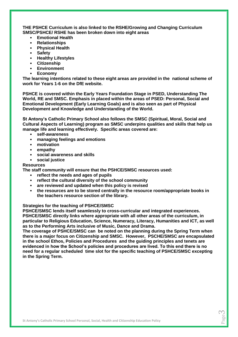**THE PSHCE Curriculum is also linked to the RSHE/Growing and Changing Curriculum SMSC/PSHCE/ RSHE has been broken down into eight areas**

- **Emotional Health**
- **Relationships**
- **Physical Health**
- **Safety**
- **Healthy Lifestyles**
- **Citizenship**
- **Environment**
- **Economy**

**The learning intentions related to these eight areas are provided in the national scheme of work for Years 1-6 on the DfE website.**

**PSHCE is covered within the Early Years Foundation Stage in PSED, Understanding The World, RE and SMSC. Emphasis in placed within the areas of PSED: Personal, Social and Emotional Development (Early Learning Goals) and is also seen as part of Physical Development and Knowledge and Understanding of the World.** 

**St Antony's Catholic Primary School also follows the SMSC (Spiritual, Moral, Social and Cultural Aspects of Learning) program as SMSC underpins qualities and skills that help us manage life and learning effectively. Specific areas covered are:**

- **self-awareness**
- **managing feelings and emotions**
- **motivation**
- **empathy**
- **social awareness and skills**
- **social justice**

#### **Resources**

**The staff community will ensure that the PSHCE/SMSC resources used:**

- **reflect the needs and ages of pupils**
- **reflect the cultural diversity of the school community**
- **are reviewed and updated when this policy is revised**
- **the resources are to be stored centrally in the resource room/appropriate books in the teachers resource section of the library.**

#### **Strategies for the teaching of PSHCE/SMSC**

**PSHCE/SMSC lends itself seamlessly to cross-curricular and integrated experiences. PSHCE/SMSC directly links where appropriate with all other areas of the curriculum, in particular to Religious Education, Science, Numeracy, Literacy, Humanities and ICT, as well as to the Performing Arts inclusive of Music, Dance and Drama.** 

**The coverage of PSHCE/SMSC can be noted on the planning during the Spring Term when there is a major focus on Citizenship and SMSC. However, PSCHE/SMSC are encapsulated in the school Ethos, Policies and Procedures and the guiding principles and tenets are evidenced in how the School's policies and procedures are lived. To this end there is no need for a regular scheduled time slot for the specific teaching of PSHCE/SMSC excepting in the Spring Term.** 

> Page 2